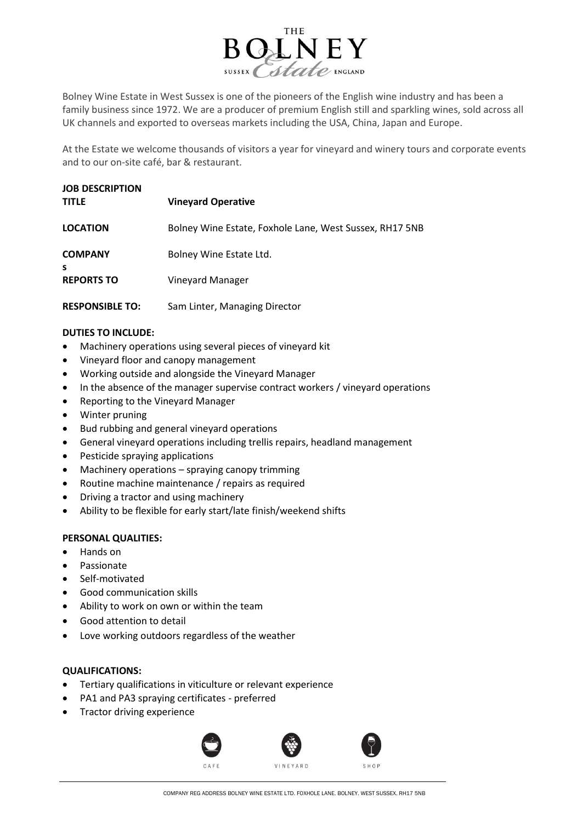

Bolney Wine Estate in West Sussex is one of the pioneers of the English wine industry and has been a family business since 1972. We are a producer of premium English still and sparkling wines, sold across all UK channels and exported to overseas markets including the USA, China, Japan and Europe.

At the Estate we welcome thousands of visitors a year for vineyard and winery tours and corporate events and to our on-site café, bar & restaurant.

| <b>JOB DESCRIPTION</b><br><b>TITLE</b> | <b>Vineyard Operative</b>                               |
|----------------------------------------|---------------------------------------------------------|
| <b>LOCATION</b>                        | Bolney Wine Estate, Foxhole Lane, West Sussex, RH17 5NB |
| <b>COMPANY</b><br><b>S</b>             | Bolney Wine Estate Ltd.                                 |
| <b>REPORTS TO</b>                      | Vineyard Manager                                        |
| <b>RESPONSIBLE TO:</b>                 | Sam Linter, Managing Director                           |

## **DUTIES TO INCLUDE:**

- Machinery operations using several pieces of vineyard kit
- Vineyard floor and canopy management
- Working outside and alongside the Vineyard Manager
- In the absence of the manager supervise contract workers / vineyard operations
- Reporting to the Vineyard Manager
- Winter pruning
- Bud rubbing and general vineyard operations
- General vineyard operations including trellis repairs, headland management
- Pesticide spraying applications
- Machinery operations  $-$  spraying canopy trimming
- Routine machine maintenance / repairs as required
- Driving a tractor and using machinery
- Ability to be flexible for early start/late finish/weekend shifts

## **PERSONAL QUALITIES:**

- Hands on
- **Passionate**
- Self-motivated
- Good communication skills
- Ability to work on own or within the team
- Good attention to detail
- Love working outdoors regardless of the weather

## **QUALIFICATIONS:**

- Tertiary qualifications in viticulture or relevant experience
- PA1 and PA3 spraying certificates preferred
- Tractor driving experience



COMPANY REG ADDRESS BOLNEY WINE ESTATE LTD. FOXHOLE LANE. BOLNEY. WEST SUSSEX. RH17 5NB